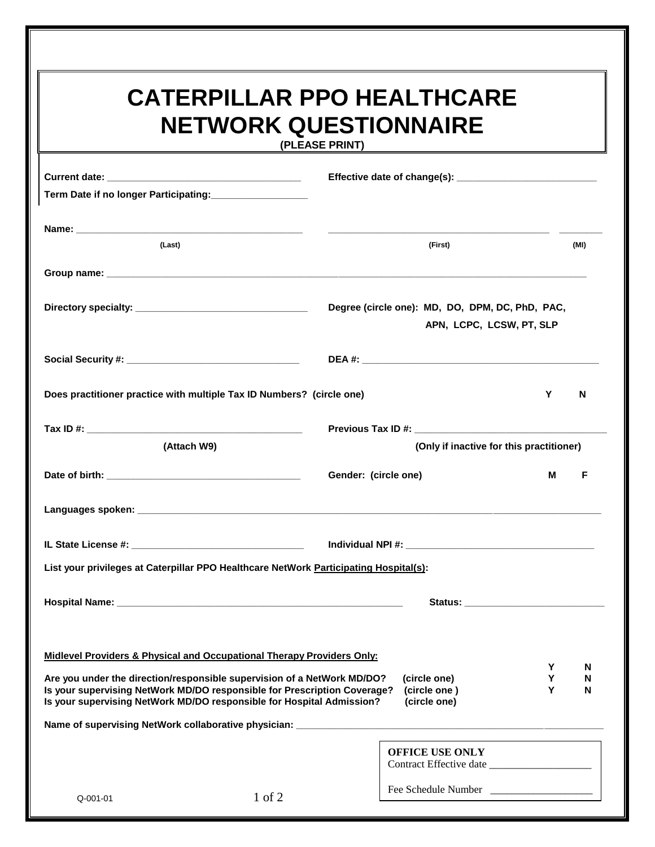## **CATERPILLAR PPO HEALTHCARE NETWORK QUESTIONNAIRE**

**(PLEASE PRINT)**

| Term Date if no longer Participating: |                                                                                                                                                                                                                                                                              |                                          |
|---------------------------------------|------------------------------------------------------------------------------------------------------------------------------------------------------------------------------------------------------------------------------------------------------------------------------|------------------------------------------|
| (Last)                                | (First)                                                                                                                                                                                                                                                                      | (MI)                                     |
|                                       |                                                                                                                                                                                                                                                                              |                                          |
|                                       | Degree (circle one): MD, DO, DPM, DC, PhD, PAC,                                                                                                                                                                                                                              | APN, LCPC, LCSW, PT, SLP                 |
|                                       |                                                                                                                                                                                                                                                                              |                                          |
|                                       | Does practitioner practice with multiple Tax ID Numbers? (circle one)                                                                                                                                                                                                        | Y<br>N                                   |
|                                       |                                                                                                                                                                                                                                                                              |                                          |
| (Attach W9)                           |                                                                                                                                                                                                                                                                              | (Only if inactive for this practitioner) |
|                                       | Gender: (circle one)                                                                                                                                                                                                                                                         | M<br>F                                   |
|                                       |                                                                                                                                                                                                                                                                              |                                          |
|                                       |                                                                                                                                                                                                                                                                              |                                          |
|                                       | List your privileges at Caterpillar PPO Healthcare NetWork Participating Hospital(s):                                                                                                                                                                                        |                                          |
|                                       |                                                                                                                                                                                                                                                                              |                                          |
|                                       | Midlevel Providers & Physical and Occupational Therapy Providers Only:                                                                                                                                                                                                       | Y<br>N                                   |
|                                       | Are you under the direction/responsible supervision of a NetWork MD/DO?<br>(circle one)<br>Is your supervising NetWork MD/DO responsible for Prescription Coverage?<br>(circle one)<br>Is your supervising NetWork MD/DO responsible for Hospital Admission?<br>(circle one) | Y<br>N<br>Y<br>N                         |
|                                       |                                                                                                                                                                                                                                                                              |                                          |
|                                       | <b>OFFICE USE ONLY</b>                                                                                                                                                                                                                                                       |                                          |
| Q-001-01                              | 1 of 2                                                                                                                                                                                                                                                                       |                                          |